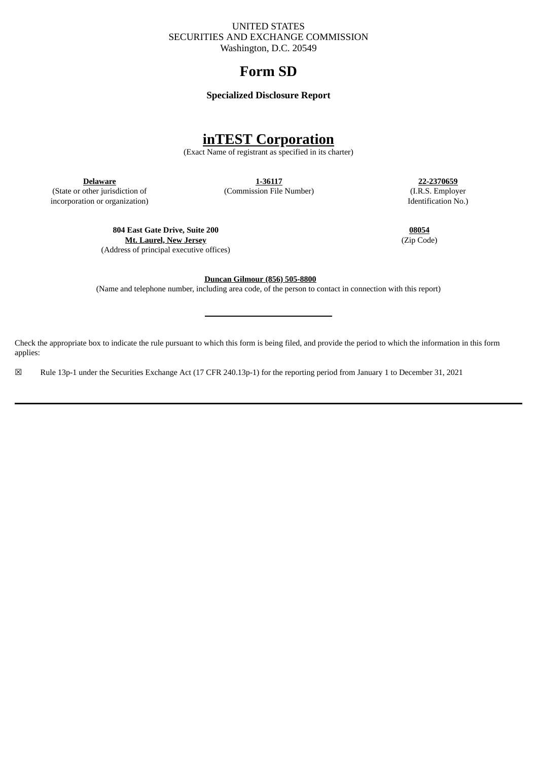# UNITED STATES SECURITIES AND EXCHANGE COMMISSION Washington, D.C. 20549

# **Form SD**

# **Specialized Disclosure Report**

# **inTEST Corporation**

(Exact Name of registrant as specified in its charter)

**Delaware**

(State or other jurisdiction of incorporation or organization) **1-36117**

(Commission File Number)

**22-2370659** (I.R.S. Employer Identification No.)

**804 East Gate Drive, Suite 200**

**Mt. Laurel, New Jersey** (Address of principal executive offices)

**08054** (Zip Code)

**Duncan Gilmour (856) 505-8800**

(Name and telephone number, including area code, of the person to contact in connection with this report)

Check the appropriate box to indicate the rule pursuant to which this form is being filed, and provide the period to which the information in this form applies:

☒ Rule 13p-1 under the Securities Exchange Act (17 CFR 240.13p-1) for the reporting period from January 1 to December 31, 2021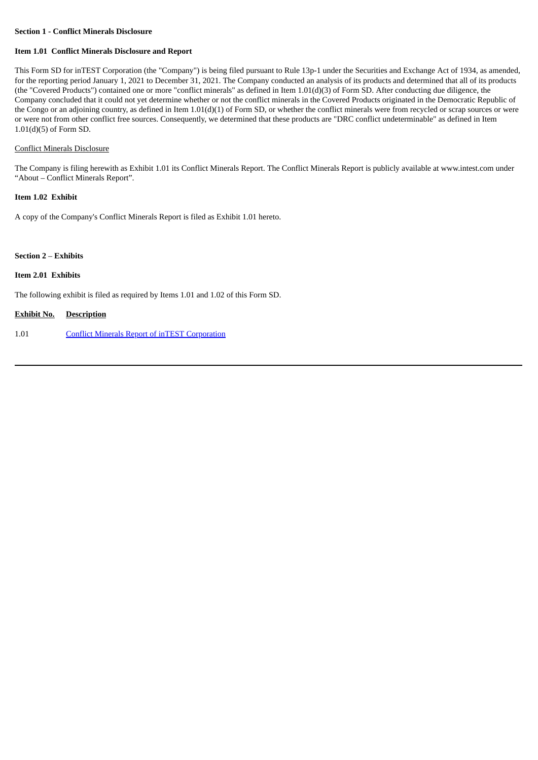# **Section 1 - Conflict Minerals Disclosure**

# **Item 1.01 Conflict Minerals Disclosure and Report**

This Form SD for inTEST Corporation (the "Company") is being filed pursuant to Rule 13p-1 under the Securities and Exchange Act of 1934, as amended, for the reporting period January 1, 2021 to December 31, 2021. The Company conducted an analysis of its products and determined that all of its products (the "Covered Products") contained one or more "conflict minerals" as defined in Item 1.01(d)(3) of Form SD. After conducting due diligence, the Company concluded that it could not yet determine whether or not the conflict minerals in the Covered Products originated in the Democratic Republic of the Congo or an adjoining country, as defined in Item 1.01(d)(1) of Form SD, or whether the conflict minerals were from recycled or scrap sources or were or were not from other conflict free sources. Consequently, we determined that these products are "DRC conflict undeterminable" as defined in Item 1.01(d)(5) of Form SD.

# Conflict Minerals Disclosure

The Company is filing herewith as Exhibit 1.01 its Conflict Minerals Report. The Conflict Minerals Report is publicly available at www.intest.com under "About – Conflict Minerals Report".

# **Item 1.02 Exhibit**

A copy of the Company's Conflict Minerals Report is filed as Exhibit 1.01 hereto.

## **Section 2** – **Exhibits**

### **Item 2.01 Exhibits**

The following exhibit is filed as required by Items 1.01 and 1.02 of this Form SD.

# **Exhibit No. Description**

1.01 Conflict Minerals Report of inTEST [Corporation](#page-3-0)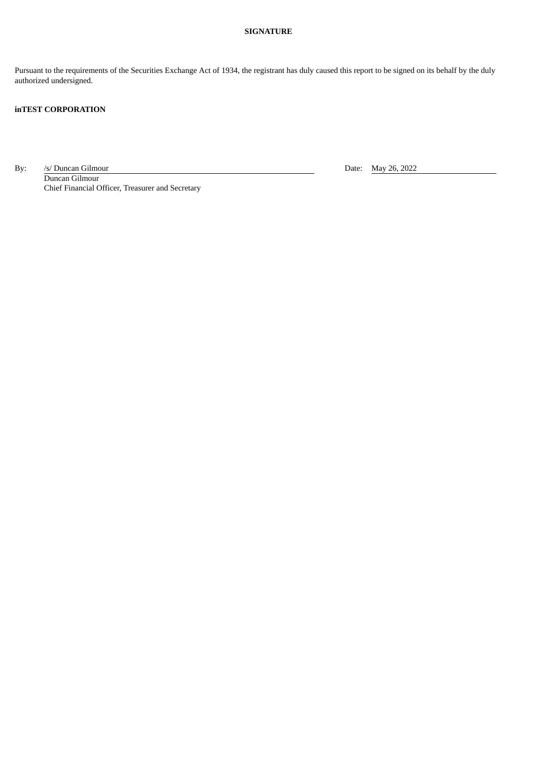# **SIGNATURE**

Pursuant to the requirements of the Securities Exchange Act of 1934, the registrant has duly caused this report to be signed on its behalf by the duly authorized undersigned.

# **inTEST CORPORATION**

By: /s/ Duncan Gilmour Date: May 26, 2022

Duncan Gilmour Chief Financial Officer, Treasurer and Secretary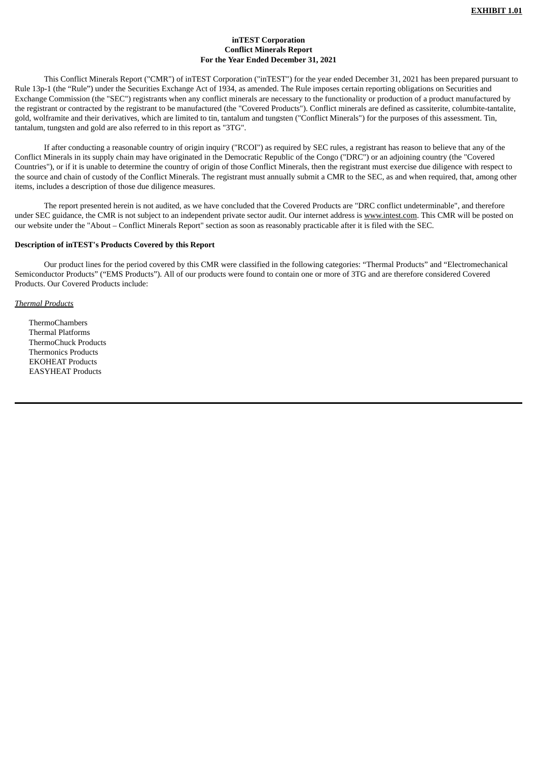# **inTEST Corporation Conflict Minerals Report For the Year Ended December 31, 2021**

<span id="page-3-0"></span>This Conflict Minerals Report ("CMR") of inTEST Corporation ("inTEST") for the year ended December 31, 2021 has been prepared pursuant to Rule 13p-1 (the "Rule") under the Securities Exchange Act of 1934, as amended. The Rule imposes certain reporting obligations on Securities and Exchange Commission (the "SEC") registrants when any conflict minerals are necessary to the functionality or production of a product manufactured by the registrant or contracted by the registrant to be manufactured (the "Covered Products"). Conflict minerals are defined as cassiterite, columbite-tantalite, gold, wolframite and their derivatives, which are limited to tin, tantalum and tungsten ("Conflict Minerals") for the purposes of this assessment. Tin, tantalum, tungsten and gold are also referred to in this report as "3TG".

If after conducting a reasonable country of origin inquiry ("RCOI") as required by SEC rules, a registrant has reason to believe that any of the Conflict Minerals in its supply chain may have originated in the Democratic Republic of the Congo ("DRC") or an adjoining country (the "Covered Countries"), or if it is unable to determine the country of origin of those Conflict Minerals, then the registrant must exercise due diligence with respect to the source and chain of custody of the Conflict Minerals. The registrant must annually submit a CMR to the SEC, as and when required, that, among other items, includes a description of those due diligence measures.

The report presented herein is not audited, as we have concluded that the Covered Products are "DRC conflict undeterminable", and therefore under SEC guidance, the CMR is not subject to an independent private sector audit. Our internet address is www.intest.com. This CMR will be posted on our website under the "About – Conflict Minerals Report" section as soon as reasonably practicable after it is filed with the SEC.

### **Description of inTEST's Products Covered by this Report**

Our product lines for the period covered by this CMR were classified in the following categories: "Thermal Products" and "Electromechanical Semiconductor Products" ("EMS Products"). All of our products were found to contain one or more of 3TG and are therefore considered Covered Products. Our Covered Products include:

# *Thermal Products*

ThermoChambers Thermal Platforms ThermoChuck Products Thermonics Products EKOHEAT Products EASYHEAT Products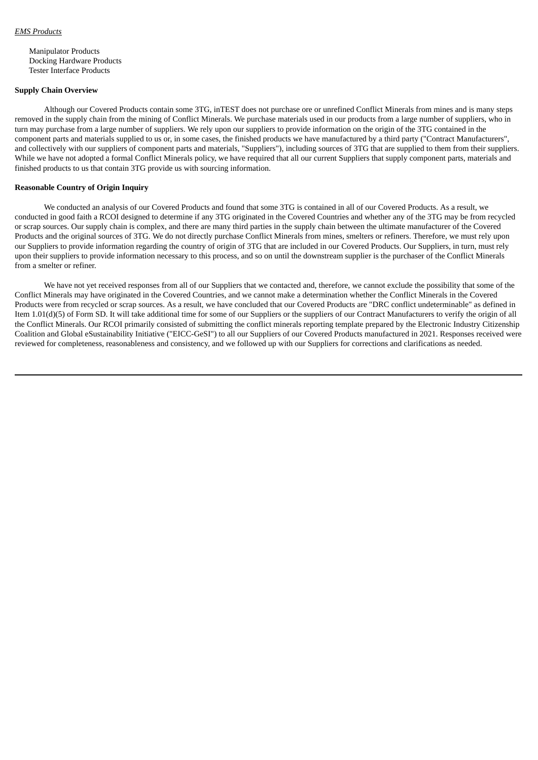Manipulator Products Docking Hardware Products Tester Interface Products

## **Supply Chain Overview**

Although our Covered Products contain some 3TG, inTEST does not purchase ore or unrefined Conflict Minerals from mines and is many steps removed in the supply chain from the mining of Conflict Minerals. We purchase materials used in our products from a large number of suppliers, who in turn may purchase from a large number of suppliers. We rely upon our suppliers to provide information on the origin of the 3TG contained in the component parts and materials supplied to us or, in some cases, the finished products we have manufactured by a third party ("Contract Manufacturers", and collectively with our suppliers of component parts and materials, "Suppliers"), including sources of 3TG that are supplied to them from their suppliers. While we have not adopted a formal Conflict Minerals policy, we have required that all our current Suppliers that supply component parts, materials and finished products to us that contain 3TG provide us with sourcing information.

# **Reasonable Country of Origin Inquiry**

We conducted an analysis of our Covered Products and found that some 3TG is contained in all of our Covered Products. As a result, we conducted in good faith a RCOI designed to determine if any 3TG originated in the Covered Countries and whether any of the 3TG may be from recycled or scrap sources. Our supply chain is complex, and there are many third parties in the supply chain between the ultimate manufacturer of the Covered Products and the original sources of 3TG. We do not directly purchase Conflict Minerals from mines, smelters or refiners. Therefore, we must rely upon our Suppliers to provide information regarding the country of origin of 3TG that are included in our Covered Products. Our Suppliers, in turn, must rely upon their suppliers to provide information necessary to this process, and so on until the downstream supplier is the purchaser of the Conflict Minerals from a smelter or refiner.

We have not yet received responses from all of our Suppliers that we contacted and, therefore, we cannot exclude the possibility that some of the Conflict Minerals may have originated in the Covered Countries, and we cannot make a determination whether the Conflict Minerals in the Covered Products were from recycled or scrap sources. As a result, we have concluded that our Covered Products are "DRC conflict undeterminable" as defined in Item 1.01(d)(5) of Form SD. It will take additional time for some of our Suppliers or the suppliers of our Contract Manufacturers to verify the origin of all the Conflict Minerals. Our RCOI primarily consisted of submitting the conflict minerals reporting template prepared by the Electronic Industry Citizenship Coalition and Global eSustainability Initiative ("EICC-GeSI") to all our Suppliers of our Covered Products manufactured in 2021. Responses received were reviewed for completeness, reasonableness and consistency, and we followed up with our Suppliers for corrections and clarifications as needed.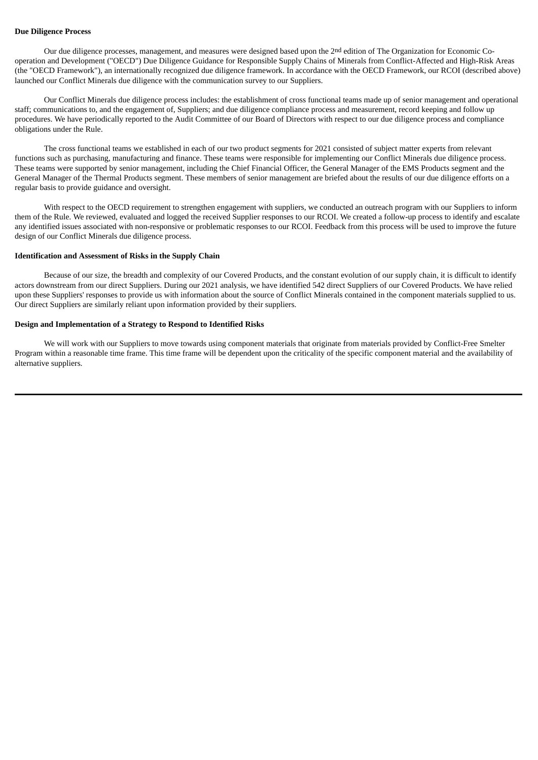### **Due Diligence Process**

Our due diligence processes, management, and measures were designed based upon the 2nd edition of The Organization for Economic Cooperation and Development ("OECD") Due Diligence Guidance for Responsible Supply Chains of Minerals from Conflict-Affected and High-Risk Areas (the "OECD Framework"), an internationally recognized due diligence framework. In accordance with the OECD Framework, our RCOI (described above) launched our Conflict Minerals due diligence with the communication survey to our Suppliers.

Our Conflict Minerals due diligence process includes: the establishment of cross functional teams made up of senior management and operational staff; communications to, and the engagement of, Suppliers; and due diligence compliance process and measurement, record keeping and follow up procedures. We have periodically reported to the Audit Committee of our Board of Directors with respect to our due diligence process and compliance obligations under the Rule.

The cross functional teams we established in each of our two product segments for 2021 consisted of subject matter experts from relevant functions such as purchasing, manufacturing and finance. These teams were responsible for implementing our Conflict Minerals due diligence process. These teams were supported by senior management, including the Chief Financial Officer, the General Manager of the EMS Products segment and the General Manager of the Thermal Products segment. These members of senior management are briefed about the results of our due diligence efforts on a regular basis to provide guidance and oversight.

With respect to the OECD requirement to strengthen engagement with suppliers, we conducted an outreach program with our Suppliers to inform them of the Rule. We reviewed, evaluated and logged the received Supplier responses to our RCOI. We created a follow-up process to identify and escalate any identified issues associated with non-responsive or problematic responses to our RCOI. Feedback from this process will be used to improve the future design of our Conflict Minerals due diligence process.

## **Identification and Assessment of Risks in the Supply Chain**

Because of our size, the breadth and complexity of our Covered Products, and the constant evolution of our supply chain, it is difficult to identify actors downstream from our direct Suppliers. During our 2021 analysis, we have identified 542 direct Suppliers of our Covered Products. We have relied upon these Suppliers' responses to provide us with information about the source of Conflict Minerals contained in the component materials supplied to us. Our direct Suppliers are similarly reliant upon information provided by their suppliers.

# **Design and Implementation of a Strategy to Respond to Identified Risks**

We will work with our Suppliers to move towards using component materials that originate from materials provided by Conflict-Free Smelter Program within a reasonable time frame. This time frame will be dependent upon the criticality of the specific component material and the availability of alternative suppliers.